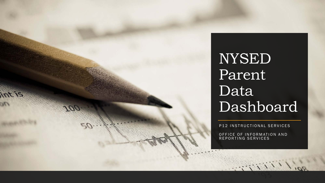

NYSED Parent Data Dashboard

P12 INSTRUCTIONAL SERVICES

OFFICE OF INFORMATION AND REPORTING SERVICES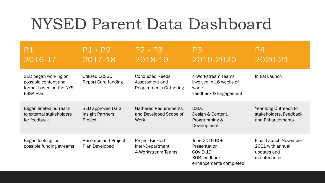## NYSED Parent Data Dashboard

| P1<br>2016-17                                                                               | $P1 - P2$<br>2017-18                                           | $P2 - P3$<br>2018-19                                                      | P <sub>3</sub><br>2019-2020                                                                       | P <sub>4</sub><br>2020-21                                                      |
|---------------------------------------------------------------------------------------------|----------------------------------------------------------------|---------------------------------------------------------------------------|---------------------------------------------------------------------------------------------------|--------------------------------------------------------------------------------|
| SED began working on<br>possible content and<br>format based on the NYS<br><b>ESSA Plan</b> | Utilized CCSSO<br><b>Report Card funding</b>                   | <b>Conducted Needs</b><br>Assessment and<br><b>Requirements Gathering</b> | 4-Workstream Teams<br>involved in 16 weeks of<br>work:<br>Feedback & Engagement                   | Initial Launch                                                                 |
| Began limited outreach<br>to external stakeholders<br>for feedback                          | <b>SED approved Data</b><br><b>Insight Partners</b><br>Project | <b>Gathered Requirements</b><br>and Developed Scope of<br><b>Work</b>     | Data,<br>Design & Content,<br>Programming &<br>Development                                        | Year long Outreach to<br>stakeholders, Feedback<br>and Enhancements            |
| Began looking for<br>possible funding streams                                               | <b>Resource and Project</b><br>Plan Developed                  | Project Kick off<br>Inter-Department<br>4-Workstream Teams                | <b>June 2019 BOE</b><br>Presentation<br>COVID-19<br><b>BOR</b> feedback<br>enhancements completed | <b>Final Launch November</b><br>2021 with annual<br>updates and<br>maintenance |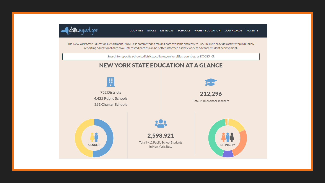

The New York State Education Department (NYSED) is committed to making data available and easy to use. This site provides a first step in publicly reporting educational data so all interested parties can be better informed as they work to advance student achievement.

Search for specific schools, districts, colleges, universities, counties, or BOCES Q

## **NEW YORK STATE EDUCATION AT A GLANCE**

Ÿ

732 Districts 4,422 Public Schools 351 Charter Schools



212,296 Total Public School Teachers





Total K-12 Public School Students in New York State

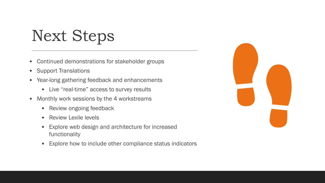## Next Steps

- Continued demonstrations for stakeholder groups
- Support Translations
- Year-long gathering feedback and enhancements
	- Live "real-time" access to survey results
- Monthly work sessions by the 4 workstreams
	- Review ongoing feedback
	- Review Lexile levels
	- Explore web design and architecture for increased functionality
	- Explore how to include other compliance status indicators